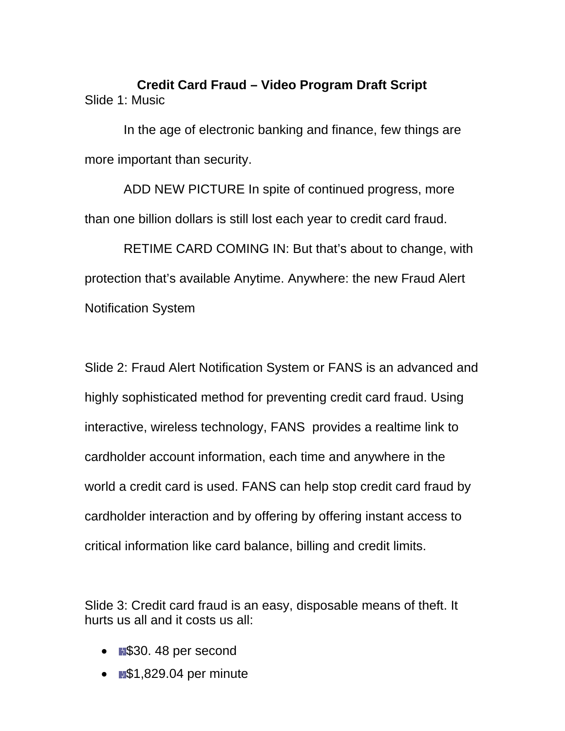**Credit Card Fraud – Video Program Draft Script**  Slide 1: Music

In the age of electronic banking and finance, few things are more important than security.

ADD NEW PICTURE In spite of continued progress, more than one billion dollars is still lost each year to credit card fraud.

RETIME CARD COMING IN: But that's about to change, with protection that's available Anytime. Anywhere: the new Fraud Alert Notification System

Slide 2: Fraud Alert Notification System or FANS is an advanced and highly sophisticated method for preventing credit card fraud. Using interactive, wireless technology, FANS provides a realtime link to cardholder account information, each time and anywhere in the world a credit card is used. FANS can help stop credit card fraud by cardholder interaction and by offering by offering instant access to critical information like card balance, billing and credit limits.

Slide 3: Credit card fraud is an easy, disposable means of theft. It hurts us all and it costs us all:

- $\bullet$   $\blacksquare$ \$30. 48 per second
- $\bullet$   $\text{H}\$1,829.04$  per minute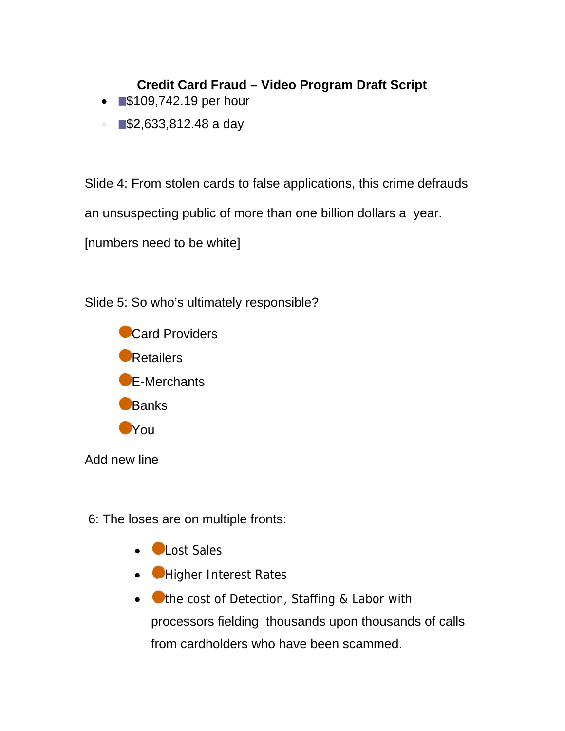- **\$109,742.19** per hour
- $\bullet$  52,633,812.48 a day

Slide 4: From stolen cards to false applications, this crime defrauds

an unsuspecting public of more than one billion dollars a year.

[numbers need to be white]

Slide 5: So who's ultimately responsible?



Add new line

6: The loses are on multiple fronts:

- **Clost Sales**
- Higher Interest Rates
- $\bullet$   $\bullet$  the cost of Detection, Staffing & Labor with processors fielding thousands upon thousands of calls from cardholders who have been scammed.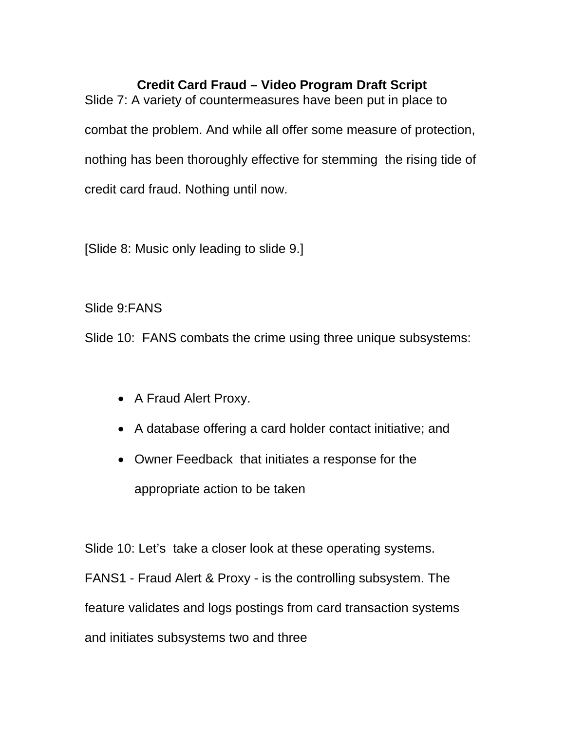Slide 7: A variety of countermeasures have been put in place to combat the problem. And while all offer some measure of protection, nothing has been thoroughly effective for stemming the rising tide of credit card fraud. Nothing until now.

[Slide 8: Music only leading to slide 9.]

Slide 9:FANS

Slide 10: FANS combats the crime using three unique subsystems:

- A Fraud Alert Proxy.
- A database offering a card holder contact initiative; and
- Owner Feedback that initiates a response for the appropriate action to be taken

Slide 10: Let's take a closer look at these operating systems.

FANS1 - Fraud Alert & Proxy - is the controlling subsystem. The feature validates and logs postings from card transaction systems and initiates subsystems two and three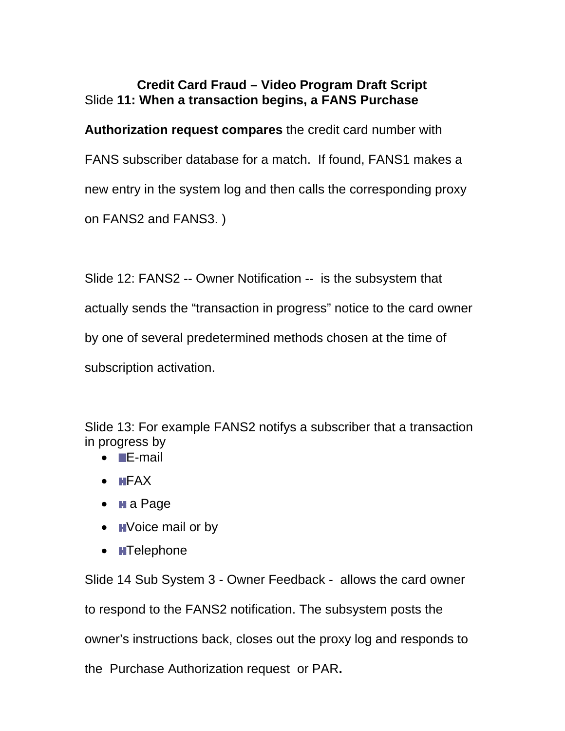## **Credit Card Fraud – Video Program Draft Script**  Slide **11: When a transaction begins, a FANS Purchase**

**Authorization request compares** the credit card number with FANS subscriber database for a match. If found, FANS1 makes a new entry in the system log and then calls the corresponding proxy on FANS2 and FANS3. )

Slide 12: FANS2 -- Owner Notification -- is the subsystem that actually sends the "transaction in progress" notice to the card owner by one of several predetermined methods chosen at the time of subscription activation.

Slide 13: For example FANS2 notifys a subscriber that a transaction in progress by

- **E-mail**
- $\bullet$  FAX
- a Page
- $\bullet$  **EVoice mail or by**
- **Telephone**

Slide 14 Sub System 3 - Owner Feedback - allows the card owner to respond to the FANS2 notification. The subsystem posts the owner's instructions back, closes out the proxy log and responds to the Purchase Authorization request or PAR**.**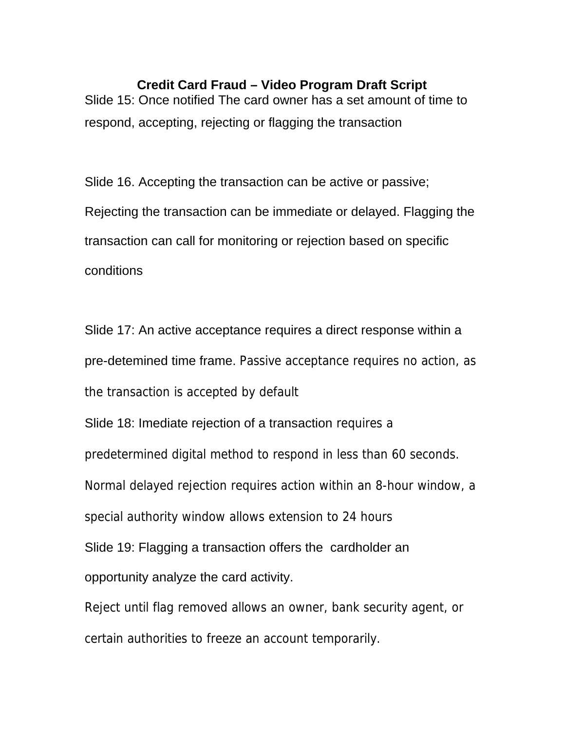Slide 15: Once notified The card owner has a set amount of time to respond, accepting, rejecting or flagging the transaction

Slide 16. Accepting the transaction can be active or passive; Rejecting the transaction can be immediate or delayed. Flagging the transaction can call for monitoring or rejection based on specific conditions

Slide 17: An active acceptance requires a direct response within a pre-detemined time frame. Passive acceptance requires no action, as the transaction is accepted by default

Slide 18: Imediate rejection of a transaction requires a predetermined digital method to respond in less than 60 seconds. Normal delayed rejection requires action within an 8-hour window, a special authority window allows extension to 24 hours Slide 19: Flagging a transaction offers the cardholder an

opportunity analyze the card activity.

Reject until flag removed allows an owner, bank security agent, or certain authorities to freeze an account temporarily.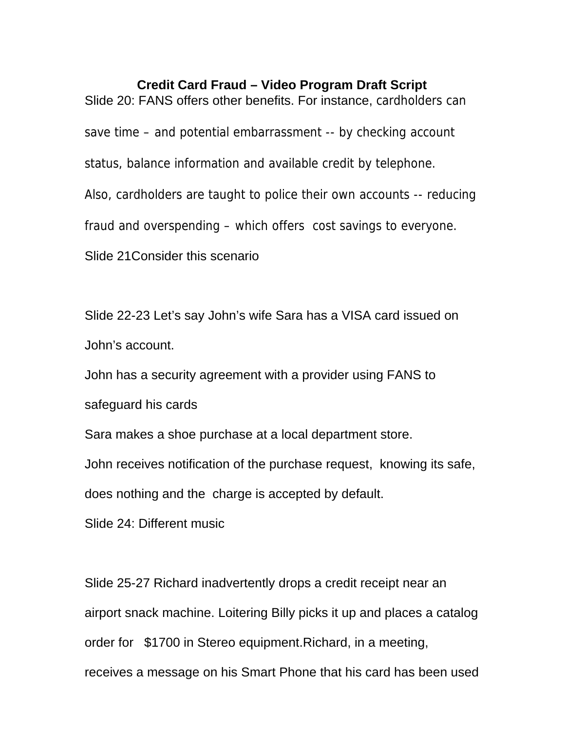Slide 20: FANS offers other benefits. For instance, cardholders can save time – and potential embarrassment -- by checking account status, balance information and available credit by telephone. Also, cardholders are taught to police their own accounts -- reducing fraud and overspending – which offers cost savings to everyone. Slide 21Consider this scenario

Slide 22-23 Let's say John's wife Sara has a VISA card issued on John's account.

John has a security agreement with a provider using FANS to

safeguard his cards

Sara makes a shoe purchase at a local department store.

John receives notification of the purchase request, knowing its safe,

does nothing and the charge is accepted by default.

Slide 24: Different music

Slide 25-27 Richard inadvertently drops a credit receipt near an airport snack machine. Loitering Billy picks it up and places a catalog order for \$1700 in Stereo equipment.Richard, in a meeting, receives a message on his Smart Phone that his card has been used